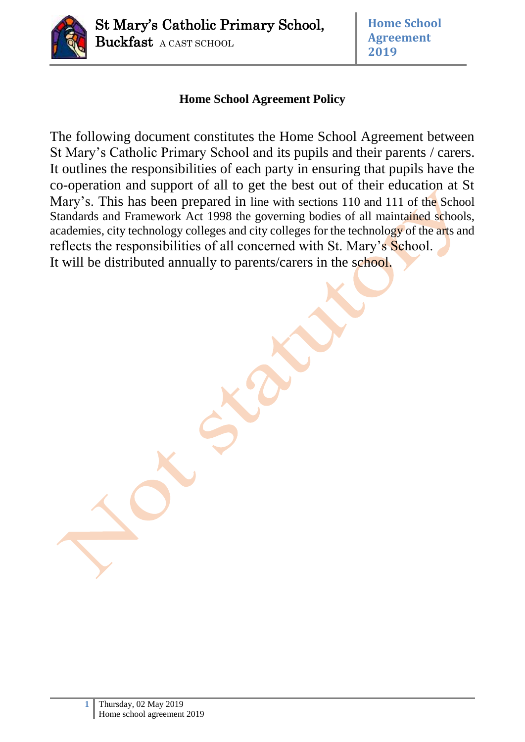

# **Home School Agreement Policy**

The following document constitutes the Home School Agreement between St Mary's Catholic Primary School and its pupils and their parents / carers. It outlines the responsibilities of each party in ensuring that pupils have the co-operation and support of all to get the best out of their education at St Mary's. This has been prepared in line with sections 110 and 111 of the School Standards and Framework Act 1998 the governing bodies of all maintained schools, academies, city technology colleges and city colleges for the technology of the arts and reflects the responsibilities of all concerned with St. Mary's School. It will be distributed annually to parents/carers in the school.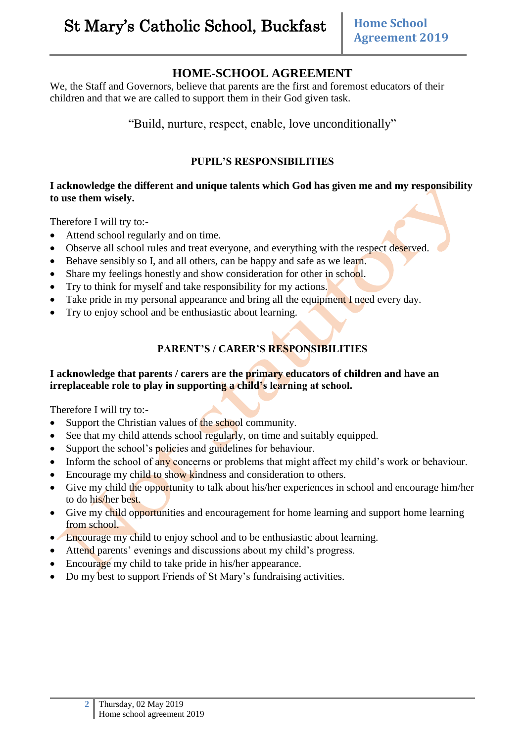# **HOME-SCHOOL AGREEMENT**

We, the Staff and Governors, believe that parents are the first and foremost educators of their children and that we are called to support them in their God given task.

"Build, nurture, respect, enable, love unconditionally"

#### **PUPIL'S RESPONSIBILITIES**

#### **I acknowledge the different and unique talents which God has given me and my responsibility to use them wisely.**

Therefore I will try to:-

- Attend school regularly and on time.
- Observe all school rules and treat everyone, and everything with the respect deserved.
- Behave sensibly so I, and all others, can be happy and safe as we learn.
- Share my feelings honestly and show consideration for other in school.
- Try to think for myself and take responsibility for my actions.
- Take pride in my personal appearance and bring all the equipment I need every day.
- Try to enjoy school and be enthusiastic about learning.

## **PARENT'S / CARER'S RESPONSIBILITIES**

#### **I acknowledge that parents / carers are the primary educators of children and have an irreplaceable role to play in supporting a child's learning at school.**

Therefore I will try to:-

- Support the Christian values of the school community.
- See that my child attends school regularly, on time and suitably equipped.
- Support the school's policies and guidelines for behaviour.
- Inform the school of any concerns or problems that might affect my child's work or behaviour.
- Encourage my child to show kindness and consideration to others.
- Give my child the opportunity to talk about his/her experiences in school and encourage him/her to do his/her best.
- Give my child opportunities and encouragement for home learning and support home learning from school.
- **Encourage my child to enjoy school and to be enthusiastic about learning.**
- Attend parents' evenings and discussions about my child's progress.
- Encourage my child to take pride in his/her appearance.
- Do my best to support Friends of St Mary's fundraising activities.